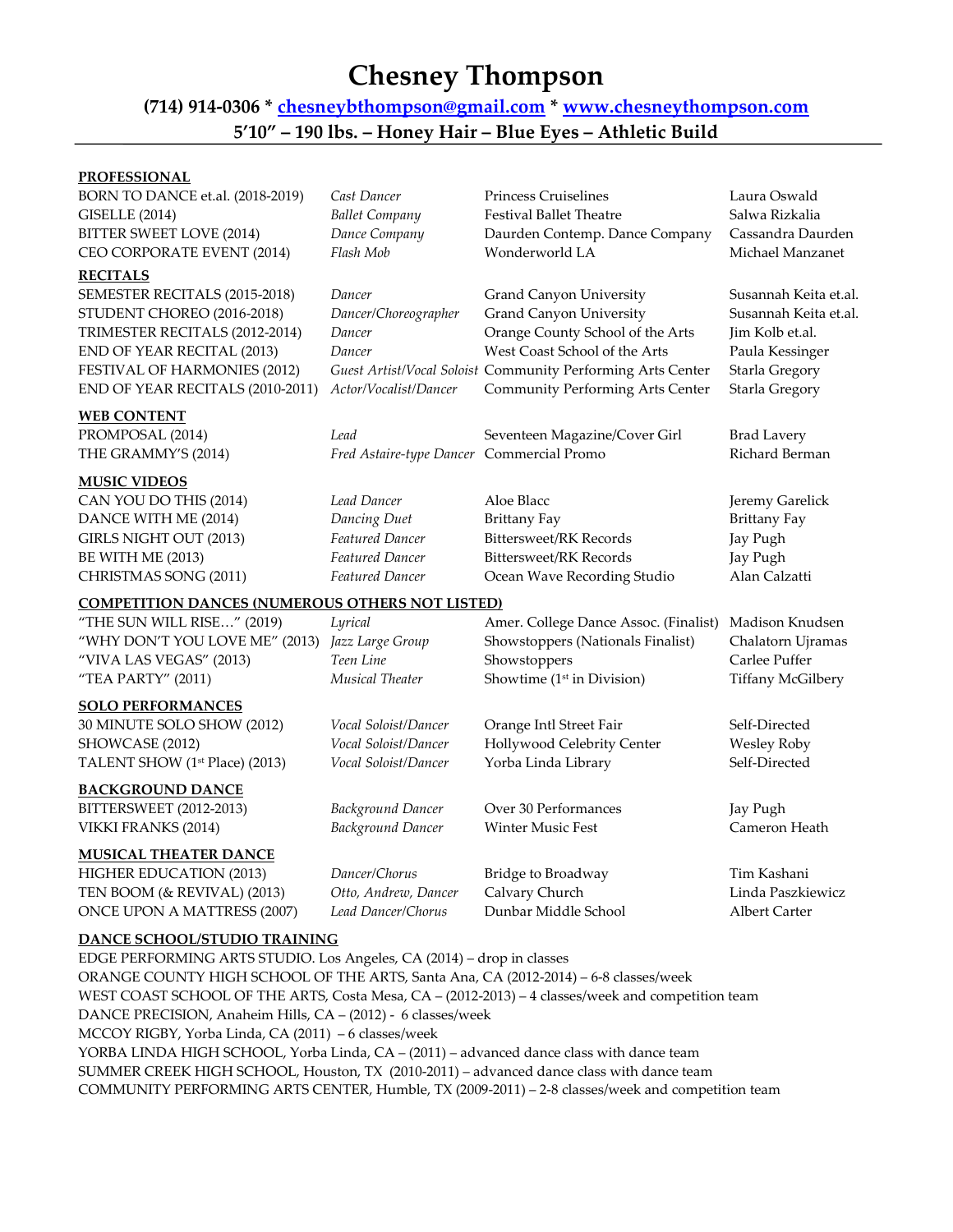## **Chesney Thompson**

## **(714) 914-0306 \* [chesneybthompson@gmail.com](mailto:chesneybthompson@gmail.com) \* [www.chesneythompson.com](http://www.chesneythompson.com/) 5'10" – 190 lbs. – Honey Hair – Blue Eyes – Athletic Build**

## **PROFESSIONAL**

| BORN TO DANCE et.al. (2018-2019)<br><b>GISELLE</b> (2014)<br>BITTER SWEET LOVE (2014)                                                                                                                              | Cast Dancer<br><b>Ballet Company</b><br>Dance Company                                | <b>Princess Cruiselines</b><br><b>Festival Ballet Theatre</b><br>Daurden Contemp. Dance Company                                                                                                                                          | Laura Oswald<br>Salwa Rizkalia<br>Cassandra Daurden                                                                      |
|--------------------------------------------------------------------------------------------------------------------------------------------------------------------------------------------------------------------|--------------------------------------------------------------------------------------|------------------------------------------------------------------------------------------------------------------------------------------------------------------------------------------------------------------------------------------|--------------------------------------------------------------------------------------------------------------------------|
| CEO CORPORATE EVENT (2014)                                                                                                                                                                                         | Flash Mob                                                                            | Wonderworld LA                                                                                                                                                                                                                           | Michael Manzanet                                                                                                         |
| <b>RECITALS</b><br>SEMESTER RECITALS (2015-2018)<br>STUDENT CHOREO (2016-2018)<br>TRIMESTER RECITALS (2012-2014)<br>END OF YEAR RECITAL (2013)<br>FESTIVAL OF HARMONIES (2012)<br>END OF YEAR RECITALS (2010-2011) | Dancer<br>Dancer/Choreographer<br>Dancer<br>Dancer<br>Actor/Vocalist/Dancer          | Grand Canyon University<br><b>Grand Canyon University</b><br>Orange County School of the Arts<br>West Coast School of the Arts<br>Guest Artist/Vocal Soloist Community Performing Arts Center<br><b>Community Performing Arts Center</b> | Susannah Keita et.al.<br>Susannah Keita et.al.<br>Jim Kolb et.al.<br>Paula Kessinger<br>Starla Gregory<br>Starla Gregory |
| <b>WEB CONTENT</b><br>PROMPOSAL (2014)<br>THE GRAMMY'S (2014)                                                                                                                                                      | Lead<br>Fred Astaire-type Dancer Commercial Promo                                    | Seventeen Magazine/Cover Girl                                                                                                                                                                                                            | <b>Brad Lavery</b><br>Richard Berman                                                                                     |
| <u>MUSIC VIDEOS</u><br>CAN YOU DO THIS (2014)<br>DANCE WITH ME (2014)<br>GIRLS NIGHT OUT (2013)<br><b>BE WITH ME (2013)</b><br>CHRISTMAS SONG (2011)                                                               | Lead Dancer<br>Dancing Duet<br>Featured Dancer<br>Featured Dancer<br>Featured Dancer | Aloe Blacc<br><b>Brittany Fay</b><br><b>Bittersweet/RK Records</b><br><b>Bittersweet/RK Records</b><br>Ocean Wave Recording Studio                                                                                                       | Jeremy Garelick<br><b>Brittany Fay</b><br>Jay Pugh<br>Jay Pugh<br>Alan Calzatti                                          |
| <b>COMPETITION DANCES (NUMEROUS OTHERS NOT LISTED)</b>                                                                                                                                                             |                                                                                      |                                                                                                                                                                                                                                          |                                                                                                                          |
| "THE SUN WILL RISE" (2019)<br>"WHY DON'T YOU LOVE ME" (2013)<br>"VIVA LAS VEGAS" (2013)<br>"TEA PARTY" (2011)                                                                                                      | Lyrical<br>Jazz Large Group<br>Teen Line<br>Musical Theater                          | Amer. College Dance Assoc. (Finalist)<br>Showstoppers (Nationals Finalist)<br>Showstoppers<br>Showtime (1 <sup>st</sup> in Division)                                                                                                     | Madison Knudsen<br>Chalatorn Ujramas<br>Carlee Puffer<br><b>Tiffany McGilbery</b>                                        |
| <b>SOLO PERFORMANCES</b><br>30 MINUTE SOLO SHOW (2012)<br>SHOWCASE (2012)<br>TALENT SHOW (1 <sup>st</sup> Place) (2013)                                                                                            | Vocal Soloist/Dancer<br>Vocal Soloist/Dancer<br>Vocal Soloist/Dancer                 | Orange Intl Street Fair<br>Hollywood Celebrity Center<br>Yorba Linda Library                                                                                                                                                             | Self-Directed<br><b>Wesley Roby</b><br>Self-Directed                                                                     |
| <u>BACKGROUND DANCE</u><br>BITTERSWEET (2012-2013)<br>VIKKI FRANKS (2014)                                                                                                                                          | <b>Background Dancer</b><br><b>Background Dancer</b>                                 | Over 30 Performances<br>Winter Music Fest                                                                                                                                                                                                | Jay Pugh<br>Cameron Heath                                                                                                |
| <u>MUSICAL THEATER DANCE</u><br>HIGHER EDUCATION (2013)<br>TEN BOOM (& REVIVAL) (2013)<br>ONCE UPON A MATTRESS (2007)                                                                                              | Dancer/Chorus<br>Otto, Andrew, Dancer<br>Lead Dancer/Chorus                          | Bridge to Broadway<br>Calvary Church<br>Dunbar Middle School                                                                                                                                                                             | Tim Kashani<br>Linda Paszkiewicz<br><b>Albert Carter</b>                                                                 |
| <b>DANCE SCHOOL/STUDIO TRAINING</b>                                                                                                                                                                                |                                                                                      |                                                                                                                                                                                                                                          |                                                                                                                          |

EDGE PERFORMING ARTS STUDIO. Los Angeles, CA (2014) – drop in classes ORANGE COUNTY HIGH SCHOOL OF THE ARTS, Santa Ana, CA (2012-2014) – 6-8 classes/week WEST COAST SCHOOL OF THE ARTS, Costa Mesa, CA – (2012-2013) – 4 classes/week and competition team DANCE PRECISION, Anaheim Hills, CA – (2012) - 6 classes/week MCCOY RIGBY, Yorba Linda, CA (2011) – 6 classes/week YORBA LINDA HIGH SCHOOL, Yorba Linda, CA – (2011) – advanced dance class with dance team SUMMER CREEK HIGH SCHOOL, Houston, TX (2010-2011) – advanced dance class with dance team COMMUNITY PERFORMING ARTS CENTER, Humble, TX (2009-2011) – 2-8 classes/week and competition team